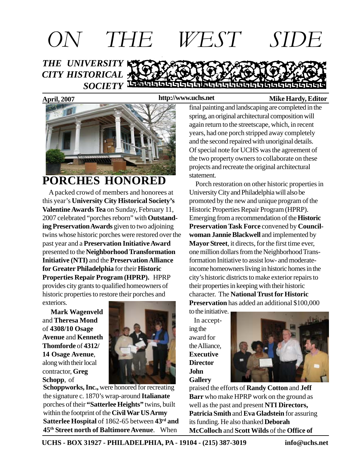

#### **http://www.uchs.net**



### **PORCHES HONORED**

 A packed crowd of members and honorees at this year's **University City Historical Society's Valentine Awards Tea** on Sunday, February 11, 2007 celebrated "porches reborn" with **Outstanding Preservation Awards** given to two adjoining twins whose historic porches were restored over the past year and a **Preservation Initiative Award** presented to the **Neighborhood Transformation Initiative (NTI)** and the **Preservation Alliance for Greater Philadelphia** for their **Historic Properties Repair Program (HPRP).** HPRP provides city grants to qualified homeowners of historic properties to restore their porches and exteriors.

 **Mark Wagenveld** and **Theresa Mond** of **4308/10 Osage Avenue** and **Kenneth Thomforde** of **4312/ 14 Osage Avenue**, along with their local contractor, **Greg Schopp**, of



**Schoppworks, Inc.,** were honored for recreating the signature c. 1870's wrap-around **Italianate** porches of their **"Satterlee Heights"** twins, built within the footprint of the **Civil War US Army Satterlee Hospital** of 1862-65 between **43rd and 45th Street north of Baltimore Avenue**. When

final painting and landscaping are completed in the spring, an original architectural composition will again return to the streetscape, which, in recent years, had one porch stripped away completely and the second repaired with unoriginal details. Of special note for UCHS was the agreement of the two property owners to collaborate on these projects and recreate the original architectural statement.

 Porch restoration on other historic properties in University City and Philadelphia will also be promoted by the new and unique program of the Historic Properties Repair Program (HPRP). Emerging from a recommendation of the **Historic Preservation Task Force** convened by **Councilwoman Jannie Blackwell** and implemented by **Mayor Street**, it directs, for the first time ever, one million dollars from the Neighborhood Transformation Initiative to assist low- and moderateincome homeowners living in historic homes in the city's historic districts to make exterior repairs to their properties in keeping with their historic character. The **National Trust for Historic Preservation** has added an additional \$100,000

to the initiative. In accepting the award for the Alliance, **Executive Director John Gallery**



praised the efforts of **Randy Cotton** and **Jeff Barr** who make HPRP work on the ground as well as the past and present **NTI Directors, Patricia Smith** and **Eva Gladstein** for assuring its funding. He also thanked **Deborah McColloch** and **Scott Wilds** of the **Office of**

**UCHS - BOX 31927 - PHILADELPHIA, PA - 19104 - (215) 387-3019 info@uchs.net**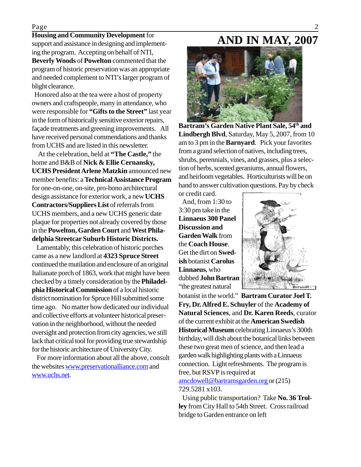#### Page 2

#### **Housing and Community Development** for

support and assistance in designing and implementing the program. Accepting on behalf of NTI, **Beverly Woods** of **Powelton** commented that the program of historic preservation was an appropriate and needed complement to NTI's larger program of blight clearance.

 Honored also at the tea were a host of property owners and craftspeople, many in attendance, who were responsible for **"Gifts to the Street"** last year in the form of historically sensitive exterior repairs, façade treatments and greening improvements. All have received personal commendations and thanks from UCHS and are listed in this newsletter.

 At the celebration, held at **"The Castle,"** the home and B&B of **Nick & Ellie Cernansky, UCHS President Arlene Matzkin** announced new member benefits: a **Technical Assistance Program** for one-on-one, on-site, pro-bono architectural design assistance for exterior work, a new **UCHS Contractors/Suppliers List** of referrals from UCHS members, and a new UCHS generic date plaque for properties not already covered by those in the **Powelton, Garden Court** and **West Philadelphia Streetcar Suburb Historic Districts.**

 Lamentably, this celebration of historic porches came as a new landlord at **4323 Spruce Street** continued the mutilation and enclosure of an original Italianate porch of 1863, work that might have been checked by a timely consideration by the **Philadelphia Historical Commission** of a local historic district nomination for Spruce Hill submitted some time ago. No matter how dedicated our individual and collective efforts at volunteer historical preservation in the neighborhood, without the needed oversight and protection from city agencies, we still lack that critical tool for providing true stewardship for the historic architecture of University City.

 For more information about all the above, consult the websites www.preservationalliance.com and www.uchs.net.

### **AND IN MAY, 2007**



**Bartram's Garden Native Plant Sale, 54th and Lindbergh Blvd**, Saturday, May 5, 2007, from 10 am to 3 pm in the **Barnyard**. Pick your favorites from a grand selection of natives, including trees, shrubs, perennials, vines, and grasses, plus a selection of herbs, scented geraniums, annual flowers, and heirloom vegetables. Horticulturists will be on hand to answer cultivation questions. Pay by check

or credit card. And, from 1:30 to 3:30 pm take in the **Linnaeus 300 Panel Discussion and Garden Walk** from the **Coach House**. Get the dirt on **Swedish** botanist **Carolus Linnaeus**, who dubbed **John Bartram** "the greatest natural



botanist in the world." **Bartram Curator Joel T. Fry, Dr. Alfred E. Schuyler** of the **Academy of Natural Sciences**, and **Dr. Karen Reeds**, curator of the current exhibit at the **American Swedish Historical Museum** celebrating Linnaeus's 300th birthday, will dish about the botanical links between these two great men of science, and then lead a garden walk highlighting plants with a Linnaeus connection. Light refreshments. The program is free, but RSVP is required at amcdowell@bartramsgarden.org or (215) 729.5281 x103.

 Using public transportation? Take **No. 36 Trolley** from City Hall to 54th Street. Cross railroad bridge to Garden entrance on left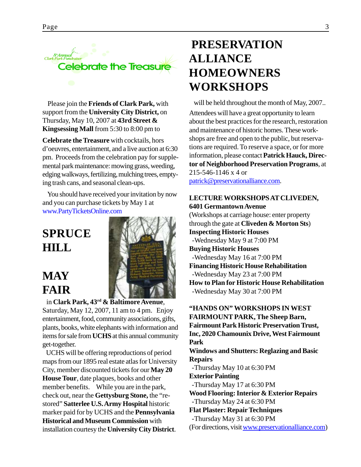

 Please join the **Friends of Clark Park,** with support from the **University City District,** on Thursday, May 10, 2007 at **43rd Street & Kingsessing Mall** from 5:30 to 8:00 pm to

**Celebrate the Treasure** with cocktails, hors d'oeuvres, entertainment, and a live auction at 6:30 pm. Proceeds from the celebration pay for supplemental park maintenance: mowing grass, weeding, edging walkways, fertilizing, mulching trees, emptying trash cans, and seasonal clean-ups.

You should have received your invitation by now and you can purchase tickets by May 1 at www.PartyTicketsOnline.com

# **SPRUCE HILL**

### **MAY FAIR**



 in **Clark Park, 43rd & Baltimore Avenue**, Saturday, May 12, 2007, 11 am to 4 pm. Enjoy entertainment, food, community associations, gifts, plants, books, white elephants with information and items for sale from **UCHS** at this annual community get-together.

 UCHS will be offering reproductions of period maps from our 1895 real estate atlas for University City, member discounted tickets for our **May 20 House Tour**, date plaques, books and other member benefits. While you are in the park, check out, near the **Gettysburg Stone,** the "restored" **Satterlee U.S. Army Hospital** historic marker paid for by UCHS and the **Pennsylvania Historical and Museum Commission** with installation courtesy the **University City District**.

### **PRESERVATION ALLIANCE HOMEOWNERS WORKSHOPS**

will be held throughout the month of May, 2007...

Attendees will have a great opportunity to learn about the best practices for the research, restoration and maintenance of historic homes. These workshops are free and open to the public, but reservations are required. To reserve a space, or for more information, please contact **Patrick Hauck, Director of Neighborhood Preservation Programs**, at 215-546-1146 x 4 or

patrick@preservationalliance.com.

### **LECTURE WORKSHOPS AT CLIVEDEN, 6401 Germantown Avenue**

(Workshops at carriage house: enter property through the gate at **Cliveden & Morton Sts**) **Inspecting Historic Houses** -Wednesday May 9 at 7:00 PM **Buying Historic Houses** -Wednesday May 16 at 7:00 PM **Financing Historic House Rehabilitation** -Wednesday May 23 at 7:00 PM **How to Plan for Historic House Rehabilitation** -Wednesday May 30 at 7:00 PM

**"HANDS ON" WORKSHOPS IN WEST FAIRMOUNT PARK, The Sheep Barn, Fairmount Park Historic Preservation Trust, Inc, 2020 Chamounix Drive, West Fairmount Park Windows and Shutters: Reglazing and Basic Repairs** -Thursday May 10 at 6:30 PM **Exterior Painting** -Thursday May 17 at 6:30 PM **Wood Flooring: Interior & Exterior Repairs** -Thursday May 24 at 6:30 PM **Flat Plaster: Repair Techniques** -Thursday May 31 at 6:30 PM (For directions, visit www.preservationalliance.com)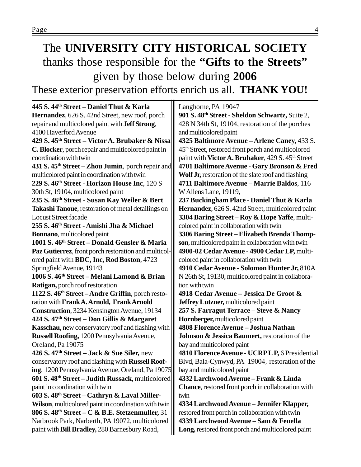# The **UNIVERSITY CITY HISTORICAL SOCIETY** thanks those responsible for the **"Gifts to the Streets"** given by those below during **2006**

These exterior preservation efforts enrich us all. **THANK YOU!**

**445 S. 44th Street – Daniel Thut & Karla Hernandez**, 626 S. 42nd Street, new roof, porch repair and multicolored paint with **Jeff Strong**, 4100 Haverford Avenue **429 S. 45th Street – Victor A. Brubaker & Nissa C. Blocker**, porch repair and multicolored paint in coordination with twin **431 S. 45th Street – Zhou Jumin**, porch repair and multicolored paint in coordination with twin **229 S. 46th Street - Horizon House Inc**, 120 S 30th St, 19104, multicolored paint **235 S. 46th Street - Susan Kay Weiler & Bert Takashi Tanoue**, restoration of metal detailings on Locust Street facade **255 S. 46th Street - Amishi Jha & Michael Bonnano**, multicolored paint **1001 S. 46th Street – Donald Gensler & Maria Paz Gutierrez**, front porch restoration and multicolored paint with **BDC, Inc, Rod Boston**, 4723 Springfield Avenue, 19143 **1006 S. 46th Street – Melani Lamond & Brian Ratigan,** porch roof restoration **1122 S. 46th Street – Andre Griffin**, porch restoration with **Frank A. Arnold, Frank Arnold Construction**, 3234 Kensington Avenue, 19134 **424 S. 47th Street – Don Gillis & Margaret Kasschau**, new conservatory roof and flashing with **Russell Roofing,** 1200 Pennsylvania Avenue, Oreland, Pa 19075 **426 S. 47th Street – Jack & Sue Siler,** new conservatory roof and flashing with **Russell Roofing**, 1200 Pennsylvania Avenue, Oreland, Pa 19075 **601 S. 48th Street – Judith Russack**, multicolored paint in coordination with twin **603 S. 48th Street – Cathryn & Laval Miller-Wilson**, multicolored paint in coordination with twin **806 S. 48th Street – C & B.E. Stetzenmuller,** 31 Narbrook Park, Narberth, PA 19072, multicolored paint with **Bill Bradley,** 280 Barnesbury Road, Langhorne, PA 19047 **901 S. 48th Street - Sheldon Schwartz,** Suite 2, 428 N 34th St, 19104, restoration of the porches and multicolored paint **4325 Baltimore Avenue – Arlene Caney,** 433 S. 45th Street, restored front porch and multicolored paint with **Victor A. Brubaker**, 429 S. 45<sup>th</sup> Street **4701 Baltimore Avenue - Gary Bronson & Fred Wolf Jr,** restoration of the slate roof and flashing **4711 Baltimore Avenue – Marrie Baldos**, 116 W Allens Lane, 19119, **237 Buckingham Place - Daniel Thut & Karla Hernandez**, 626 S. 42nd Street, multicolored paint **3304 Baring Street – Roy & Hope Yaffe**, multicolored paint in collaboration with twin **3306 Baring Street – Elizabeth Brenda Thompson**, multicolored paint in collaboration with twin **4900-02 Cedar Avenue - 4900 Cedar LP,** multicolored paint in collaboration with twin **4910 Cedar Avenue - Solomon Hunter Jr,** 810A N 26th St, 19130, multicolored paint in collaboration with twin **4918 Cedar Avenue – Jessica De Groot & Jeffrey Lutzner,** multicolored paint **257 S. Farragut Terrace – Steve & Nancy Hornberger,** multicolored paint **4808 Florence Avenue – Joshua Nathan Johnson & Jessica Baumert,** restoration of the bay and multicolored paint **4810 Florence Avenue - UCRP L P,** 6 Presidential Blvd, Bala-Cynwyd, PA 19004, restoration of the bay and multicolored paint **4332 Larchwood Avenue – Frank & Linda Chance**, restored front porch in collaboration with twin **4334 Larchwood Avenue – Jennifer Klapper,** restored front porch in collaboration with twin **4339 Larchwood Avenue – Sam & Fenella Long,** restored front porch and multicolored paint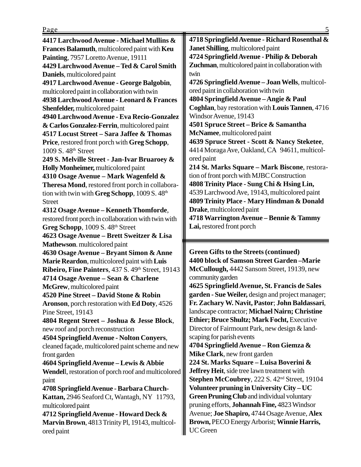**4417 Larchwood Avenue - Michael Mullins & Frances Balamuth**, multicolored paint with **Keu Painting**, 7957 Loretto Avenue, 19111 **4429 Larchwood Avenue – Ted & Carol Smith Daniels**, multicolored paint **4917 Larchwood Avenue - George Balgobin**, multicolored paint in collaboration with twin **4938 Larchwood Avenue - Leonard & Frances Shenfelder,** multicolored paint **4940 Larchwood Avenue - Eva Recio-Gonzalez & Carlos Gonzalez-Ferrin**, multicolored paint **4517 Locust Street – Sara Jaffee & Thomas Price**, restored front porch with **Greg Schopp**, 1009 S. 48th Street **249 S. Melville Street - Jan-Ivar Bruaroey & Holly Monheimer,** multicolored paint **4310 Osage Avenue – Mark Wagenfeld & Theresa Mond**, restored front porch in collaboration with twin with **Greg Schopp**, 1009 S. 48<sup>th</sup> Street **4312 Osage Avenue – Kenneth Thomforde**, restored front porch in collaboration with twin with Greg Schopp, 1009 S. 48<sup>th</sup> Street **4623 Osage Avenue – Brett Sweitzer & Lisa Mathewson**. multicolored paint **4630 Osage Avenue – Bryant Simon & Anne Marie Reardon**, multicolored paint with **Luis Ribeiro, Fine Painters**, 437 S. 49<sup>th</sup> Street, 19143 **4714 Osage Avenue – Sean & Charlene McGrew**, multicolored paint **4520 Pine Street – David Stone & Robin Aronson**, porch restoration with **Ed Doty**, 4526 Pine Street, 19143 **4804 Regent Street – Joshua & Jesse Block**, new roof and porch reconstruction **4504 Springfield Avenue - Nolton Conyers**, cleaned façade, multicolored paint scheme and new front garden **4604 Springfield Avenue – Lewis & Abbie Wendel**l, restoration of porch roof and multicolored paint **4708 Springfield Avenue - Barbara Church-Kattan,** 2946 Seaford Ct, Wantagh, NY 11793, multicolored paint **4712 Springfield Avenue - Howard Deck & Marvin Brown**, 4813 Trinity Pl, 19143, multicolored paint

**4718 Springfield Avenue - Richard Rosenthal & Janet Shilling**, multicolored paint **4724 Springfield Avenue - Philip & Deborah Zuchman**, multicolored paint in collaboration with twin **4726 Springfield Avenue – Joan Wells**, multicolored paint in collaboration with twin **4804 Springfield Avenue – Angie & Paul Coghlan**, bay restoration with **Louis Tannen**, 4716 Windsor Avenue, 19143 **4501 Spruce Street – Brice & Samantha McNamee**, multicolored paint **4639 Spruce Street - Scott & Nancy Steketee**, 4414 Moraga Ave, Oakland, CA 94611, multicolored paint **214 St. Marks Square – Mark Biscone**, restoration of front porch with MJBC Construction **4808 Trinity Place - Sung Chi & Hsing Lin,** 4539 Larchwood Ave, 19143, multicolored paint **4809 Trinity Place - Mary Hindman & Donald Drake**, multicolored paint **4718 Warrington Avenue – Bennie & Tammy Lai,** restored front porch

**Green Gifts to the Streets (continued) 4400 block of Samson Street Garden –Marie McCullough,** 4442 Sansom Street, 19139, new community garden **4625 Springfield Avenue, St. Francis de Sales garden - Sue Weiler,** design and project manager;

**Fr. Zachary W. Navit, Pastor**; **John Baldassari**, landscape contractor; **Michael Nairn; Christine Ethier; Bruce Shultz; Mark Focht,** Executive Director of Fairmount Park, new design & landscaping for parish events

**4704 Springfield Avenue – Ron Giemza & Mike Clark**, new front garden

**224 St. Marks Square – Luisa Boverini & Jeffrey Heit**, side tree lawn treatment with **Stephen McCoubrey**, 222 S. 42nd Street, 19104 **Volunteer pruning in University City – UC Green Pruning Club** and individual voluntary pruning efforts, **Johannah Fine,** 4823 Windsor Avenue; **Joe Shapiro,** 4744 Osage Avenue, **Alex Brown,** PECO Energy Arborist; **Winnie Harris,** UC Green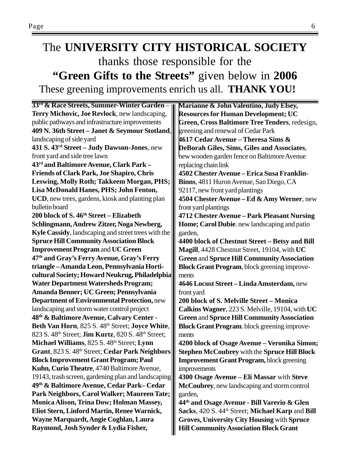### The **UNIVERSITY CITY HISTORICAL SOCIETY** thanks those responsible for the **"Green Gifts to the Streets"** given below in **2006** These greening improvements enrich us all. **THANK YOU!**

| 33 <sup>rd</sup> & Race Streets, Summer-Winter Garden-                             | Marianne & John Valentino, Judy Elsey,                       |
|------------------------------------------------------------------------------------|--------------------------------------------------------------|
| Terry Michovic, Joe Revlock, new landscaping,                                      | <b>Resources for Human Development; UC</b>                   |
| public pathways and infrastructure improvements                                    | Green, Cross Baltimore Tree Tenders, redesign,               |
| 409 N. 36th Street – Janet & Seymour Stotland,                                     | greening and renewal of Cedar Park                           |
| landscaping of side yard                                                           | 4617 Cedar Avenue – Theresa Sims &                           |
| 431 S. 43 <sup>rd</sup> Street - Judy Dawson-Jones, new                            | DeBorah Giles, Sims, Giles and Associates,                   |
| front yard and side tree lawn                                                      | hew wooden garden fence on Baltimore Avenue                  |
| 43rd and Baltimore Avenue, Clark Park -                                            | replacing chain link                                         |
| <b>Friends of Clark Park, Joe Shapiro, Chris</b>                                   | 4502 Chester Avenue - Erica Susa Franklin-                   |
| Leswing, Molly Roth; Takkeem Morgan, PHS;                                          | Binns, 4811 Huron Avenue, San Diego, CA                      |
| Lisa McDonald Hanes, PHS; John Fenton,                                             | 92117, new front yard plantings                              |
| UCD, new trees, gardens, kiosk and planting plan                                   | 4504 Chester Avenue – Ed & Amy Werner, new                   |
| bulletin board                                                                     | front yard plantings                                         |
| 200 block of S. 46 <sup>th</sup> Street – Elizabeth                                | 4712 Chester Avenue - Park Pleasant Nursing                  |
| Schlingmann, Andrew Zitzer, Noga Newberg,                                          | Home; Carol Dubie. new landscaping and patio                 |
| <b>Kyle Cassidy</b> , landscaping and street trees with the                        | garden,                                                      |
| <b>Spruce Hill Community Association Block</b>                                     | 4400 block of Chestnut Street - Betsy and Bill               |
| <b>Improvement Program and UC Green</b>                                            | Magill, 4428 Chestnut Street, 19104, with UC                 |
| 47 <sup>th</sup> and Gray's Ferry Avenue, Gray's Ferry                             | <b>Green and Spruce Hill Community Association</b>           |
| triangle-Amanda Leon, Pennsylvania Horti-                                          | <b>Block Grant Program</b> , block greening improve-         |
| cultural Society; Howard Neukrug, Philadelphia                                     | ments                                                        |
| <b>Water Department Watersheds Program;</b>                                        | 4646 Locust Street - Linda Amsterdam, new                    |
| Amanda Benner; UC Green; Pennsylvania                                              | front yard                                                   |
| <b>Department of Environmental Protection, new</b>                                 | 200 block of S. Melville Street - Monica                     |
| landscaping and storm water control project                                        | Calkins Wagner, 223 S. Melville, 19104, with UC              |
| 48 <sup>th</sup> & Baltimore Avenue, Calvary Center -                              | <b>Green and Spruce Hill Community Association</b>           |
| Beth Van Horn, 825 S. 48th Street; Joyce White,                                    | <b>Block Grant Program.</b> block greening improve-          |
| 823 S. 48 <sup>th</sup> Street; <b>Jim Kurtz</b> , 820 S. 48 <sup>th</sup> Street; | ments                                                        |
| Michael Williams, 825 S. 48th Street; Lynn                                         | 4200 block of Osage Avenue - Veronika Simon;                 |
| Grant, 823 S. 48th Street; Cedar Park Neighbors                                    | <b>Stephen McCoubrey with the Spruce Hill Block</b>          |
| <b>Block Improvement Grant Program; Paul</b>                                       | <b>Improvement Grant Program, block greening</b>             |
| Kuhn, Curio Theatre, 4740 Baltimore Avenue,                                        | improvements                                                 |
| 19143, trash screen, gardening plan and landscaping                                | 4300 Osage Avenue – Eli Massar with Steve                    |
| 49th & Baltimore Avenue, Cedar Park-Cedar                                          | McCoubrey, new landscaping and storm control                 |
| Park Neighbors, Carol Walker; Maureen Tate;                                        | garden,                                                      |
| Monica Alison, Trina Dow; Holman Massey,                                           | 44 <sup>th</sup> and Osage Avenue - Bill Varerio & Glen      |
| Eliot Stern, Linford Martin, Renee Warnick,                                        | Sacks, 420 S. 44 <sup>th</sup> Street; Michael Karp and Bill |
| Wayne Marquardt, Angie Coghlan, Laura                                              | <b>Groves, University City Housing with Spruce</b>           |
| Raymond, Josh Synder & Lydia Fisher,                                               | <b>Hill Community Association Block Grant</b>                |
|                                                                                    |                                                              |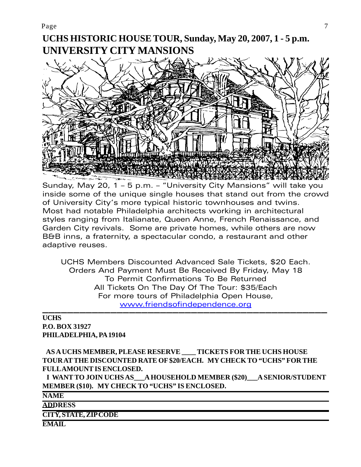### **UCHS HISTORIC HOUSE TOUR, Sunday, May 20, 2007, 1 - 5 p.m. UNIVERSITY CITY MANSIONS**



Sunday, May 20, 1 – 5 p.m. – "University City Mansions" will take you inside some of the unique single houses that stand out from the crowd of University City's more typical historic townhouses and twins. Most had notable Philadelphia architects working in architectural styles ranging from Italianate, Queen Anne, French Renaissance, and Garden City revivals. Some are private homes, while others are now B&B inns, a fraternity, a spectacular condo, a restaurant and other adaptive reuses.

UCHS Members Discounted Advanced Sale Tickets, \$20 Each. Orders And Payment Must Be Received By Friday, May 18 To Permit Confirmations To Be Returned All Tickets On The Day Of The Tour: \$35/Each For more tours of Philadelphia Open House, www.friendsofindependence.org

#### —————————————————————————————————————————————— **UCHS P.O. BOX 31927 PHILADELPHIA, PA 19104**

 **AS A UCHS MEMBER, PLEASE RESERVE \_\_\_\_ TICKETS FOR THE UCHS HOUSE TOUR AT THE DISCOUNTED RATE OF \$20/EACH. MY CHECK TO "UCHS" FOR THE FULL AMOUNT IS ENCLOSED.**

 **I WANT TO JOIN UCHS AS\_\_\_A HOUSEHOLD MEMBER (\$20)\_\_\_A SENIOR/STUDENT MEMBER (\$10). MY CHECK TO "UCHS" IS ENCLOSED.**

**NAME**

**ADDRESS**

**CITY, STATE, ZIP CODE**

**EMAIL**